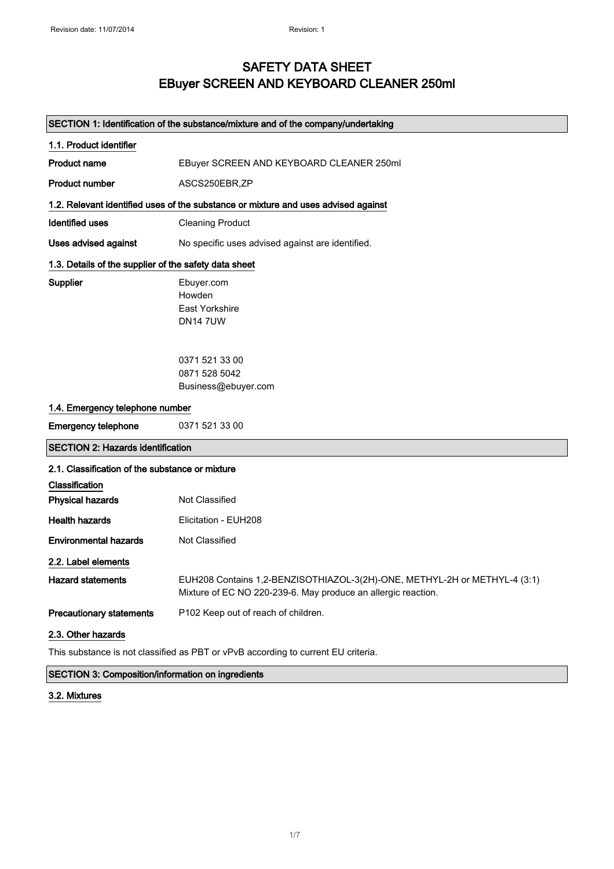## SAFETY DATA SHEET EBuyer SCREEN AND KEYBOARD CLEANER 250ml

## SECTION 1: Identification of the substance/mixture and of the company/undertaking

| 1.1. Product identifier                               |                                                                                                                                            |
|-------------------------------------------------------|--------------------------------------------------------------------------------------------------------------------------------------------|
| <b>Product name</b>                                   | EBuyer SCREEN AND KEYBOARD CLEANER 250ml                                                                                                   |
| <b>Product number</b>                                 | ASCS250EBR,ZP                                                                                                                              |
|                                                       | 1.2. Relevant identified uses of the substance or mixture and uses advised against                                                         |
| <b>Identified uses</b>                                | <b>Cleaning Product</b>                                                                                                                    |
| Uses advised against                                  | No specific uses advised against are identified.                                                                                           |
| 1.3. Details of the supplier of the safety data sheet |                                                                                                                                            |
| Supplier                                              | Ebuyer.com<br>Howden<br>East Yorkshire<br><b>DN147UW</b>                                                                                   |
|                                                       | 0371 521 33 00<br>0871 528 5042<br>Business@ebuyer.com                                                                                     |
| 1.4. Emergency telephone number                       |                                                                                                                                            |
| <b>Emergency telephone</b>                            | 0371 521 33 00                                                                                                                             |
| <b>SECTION 2: Hazards identification</b>              |                                                                                                                                            |
| 2.1. Classification of the substance or mixture       |                                                                                                                                            |
| Classification                                        |                                                                                                                                            |
| <b>Physical hazards</b>                               | Not Classified                                                                                                                             |
| <b>Health hazards</b>                                 | Elicitation - EUH208                                                                                                                       |
| <b>Environmental hazards</b>                          | Not Classified                                                                                                                             |
| 2.2. Label elements                                   |                                                                                                                                            |
| <b>Hazard statements</b>                              | EUH208 Contains 1,2-BENZISOTHIAZOL-3(2H)-ONE, METHYL-2H or METHYL-4 (3:1)<br>Mixture of EC NO 220-239-6. May produce an allergic reaction. |
| <b>Precautionary statements</b>                       | P102 Keep out of reach of children.                                                                                                        |
| 2.3. Other hazards                                    |                                                                                                                                            |
|                                                       | This substance is not classified as PBT or vPvB according to current EU criteria.                                                          |

### SECTION 3: Composition/information on ingredients

## 3.2. Mixtures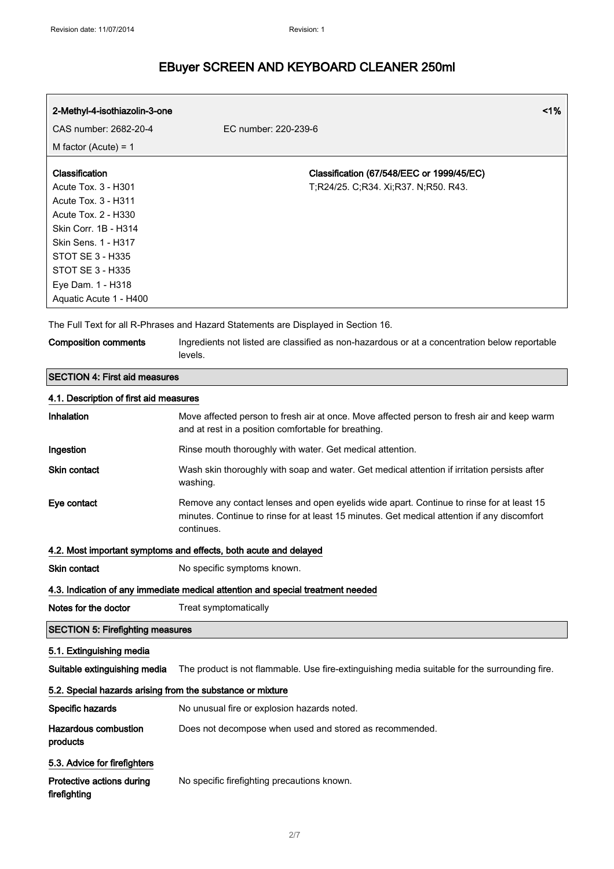| 2-Methyl-4-isothiazolin-3-one |                                           | $1\%$ |
|-------------------------------|-------------------------------------------|-------|
| CAS number: 2682-20-4         | EC number: 220-239-6                      |       |
| M factor (Acute) = $1$        |                                           |       |
| <b>Classification</b>         | Classification (67/548/EEC or 1999/45/EC) |       |
| Acute Tox. 3 - H301           | T:R24/25. C:R34. Xi:R37. N:R50. R43.      |       |
| Acute Tox. 3 - H311           |                                           |       |
| Acute Tox. 2 - H330           |                                           |       |
| Skin Corr. 1B - H314          |                                           |       |
| Skin Sens. 1 - H317           |                                           |       |
| STOT SE 3 - H335              |                                           |       |
| STOT SE 3 - H335              |                                           |       |
| Eye Dam. 1 - H318             |                                           |       |
| Aquatic Acute 1 - H400        |                                           |       |

The Full Text for all R-Phrases and Hazard Statements are Displayed in Section 16.

Composition comments Ingredients not listed are classified as non-hazardous or at a concentration below reportable levels.

| <b>SECTION 4: First aid measures</b>                                            |                                                                                                                                                                                                       |
|---------------------------------------------------------------------------------|-------------------------------------------------------------------------------------------------------------------------------------------------------------------------------------------------------|
| 4.1. Description of first aid measures                                          |                                                                                                                                                                                                       |
| Inhalation                                                                      | Move affected person to fresh air at once. Move affected person to fresh air and keep warm<br>and at rest in a position comfortable for breathing.                                                    |
| Ingestion                                                                       | Rinse mouth thoroughly with water. Get medical attention.                                                                                                                                             |
| <b>Skin contact</b>                                                             | Wash skin thoroughly with soap and water. Get medical attention if irritation persists after<br>washing.                                                                                              |
| Eye contact                                                                     | Remove any contact lenses and open eyelids wide apart. Continue to rinse for at least 15<br>minutes. Continue to rinse for at least 15 minutes. Get medical attention if any discomfort<br>continues. |
|                                                                                 | 4.2. Most important symptoms and effects, both acute and delayed                                                                                                                                      |
| <b>Skin contact</b>                                                             | No specific symptoms known.                                                                                                                                                                           |
| 4.3. Indication of any immediate medical attention and special treatment needed |                                                                                                                                                                                                       |
| Notes for the doctor                                                            | Treat symptomatically                                                                                                                                                                                 |
| <b>SECTION 5: Firefighting measures</b>                                         |                                                                                                                                                                                                       |
| 5.1. Extinguishing media                                                        |                                                                                                                                                                                                       |
| Suitable extinguishing media                                                    | The product is not flammable. Use fire-extinguishing media suitable for the surrounding fire.                                                                                                         |
| 5.2. Special hazards arising from the substance or mixture                      |                                                                                                                                                                                                       |
| Specific hazards                                                                | No unusual fire or explosion hazards noted.                                                                                                                                                           |
| Hazardous combustion<br>products                                                | Does not decompose when used and stored as recommended.                                                                                                                                               |
| 5.3. Advice for firefighters                                                    |                                                                                                                                                                                                       |
| Protective actions during<br>firefighting                                       | No specific firefighting precautions known.                                                                                                                                                           |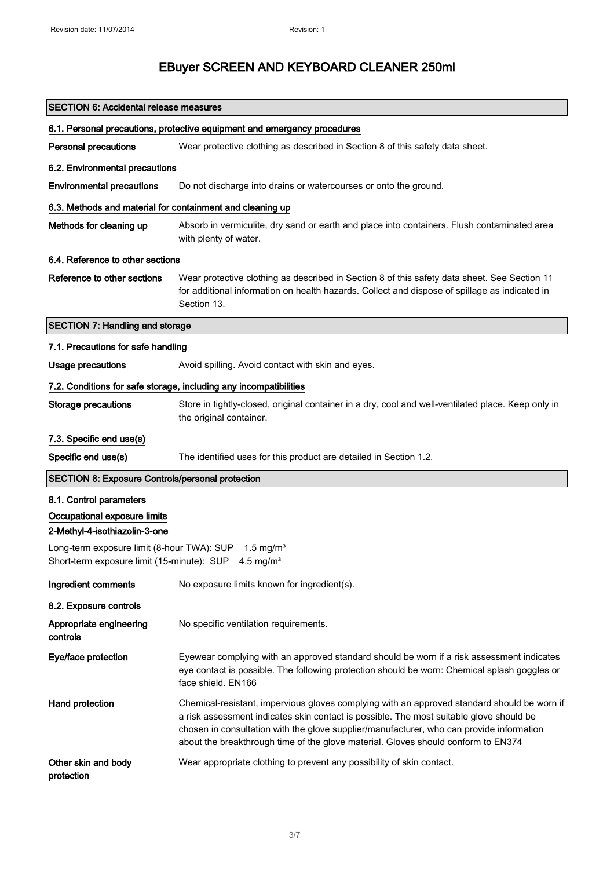| <b>SECTION 6: Accidental release measures</b>                                                     |                                                                                                                                                                                                                                                                                                                                                                         |
|---------------------------------------------------------------------------------------------------|-------------------------------------------------------------------------------------------------------------------------------------------------------------------------------------------------------------------------------------------------------------------------------------------------------------------------------------------------------------------------|
| 6.1. Personal precautions, protective equipment and emergency procedures                          |                                                                                                                                                                                                                                                                                                                                                                         |
| <b>Personal precautions</b>                                                                       | Wear protective clothing as described in Section 8 of this safety data sheet.                                                                                                                                                                                                                                                                                           |
| 6.2. Environmental precautions                                                                    |                                                                                                                                                                                                                                                                                                                                                                         |
| <b>Environmental precautions</b>                                                                  | Do not discharge into drains or watercourses or onto the ground.                                                                                                                                                                                                                                                                                                        |
| 6.3. Methods and material for containment and cleaning up                                         |                                                                                                                                                                                                                                                                                                                                                                         |
| Methods for cleaning up                                                                           | Absorb in vermiculite, dry sand or earth and place into containers. Flush contaminated area<br>with plenty of water.                                                                                                                                                                                                                                                    |
| 6.4. Reference to other sections                                                                  |                                                                                                                                                                                                                                                                                                                                                                         |
| Reference to other sections                                                                       | Wear protective clothing as described in Section 8 of this safety data sheet. See Section 11<br>for additional information on health hazards. Collect and dispose of spillage as indicated in<br>Section 13.                                                                                                                                                            |
| <b>SECTION 7: Handling and storage</b>                                                            |                                                                                                                                                                                                                                                                                                                                                                         |
| 7.1. Precautions for safe handling                                                                |                                                                                                                                                                                                                                                                                                                                                                         |
| <b>Usage precautions</b>                                                                          | Avoid spilling. Avoid contact with skin and eyes.                                                                                                                                                                                                                                                                                                                       |
|                                                                                                   | 7.2. Conditions for safe storage, including any incompatibilities                                                                                                                                                                                                                                                                                                       |
| <b>Storage precautions</b>                                                                        | Store in tightly-closed, original container in a dry, cool and well-ventilated place. Keep only in<br>the original container.                                                                                                                                                                                                                                           |
| 7.3. Specific end use(s)                                                                          |                                                                                                                                                                                                                                                                                                                                                                         |
| Specific end use(s)                                                                               | The identified uses for this product are detailed in Section 1.2.                                                                                                                                                                                                                                                                                                       |
| <b>SECTION 8: Exposure Controls/personal protection</b>                                           |                                                                                                                                                                                                                                                                                                                                                                         |
| 8.1. Control parameters                                                                           |                                                                                                                                                                                                                                                                                                                                                                         |
| Occupational exposure limits                                                                      |                                                                                                                                                                                                                                                                                                                                                                         |
| 2-Methyl-4-isothiazolin-3-one<br>Long-term exposure limit (8-hour TWA): SUP 1.5 mg/m <sup>3</sup> |                                                                                                                                                                                                                                                                                                                                                                         |
| Short-term exposure limit (15-minute): SUP 4.5 mg/m <sup>3</sup>                                  |                                                                                                                                                                                                                                                                                                                                                                         |
| Ingredient comments                                                                               | No exposure limits known for ingredient(s).                                                                                                                                                                                                                                                                                                                             |
| 8.2. Exposure controls                                                                            |                                                                                                                                                                                                                                                                                                                                                                         |
| Appropriate engineering<br>controls                                                               | No specific ventilation requirements.                                                                                                                                                                                                                                                                                                                                   |
| Eye/face protection                                                                               | Eyewear complying with an approved standard should be worn if a risk assessment indicates<br>eye contact is possible. The following protection should be worn: Chemical splash goggles or<br>face shield. EN166                                                                                                                                                         |
| Hand protection                                                                                   | Chemical-resistant, impervious gloves complying with an approved standard should be worn if<br>a risk assessment indicates skin contact is possible. The most suitable glove should be<br>chosen in consultation with the glove supplier/manufacturer, who can provide information<br>about the breakthrough time of the glove material. Gloves should conform to EN374 |
| Other skin and body<br>protection                                                                 | Wear appropriate clothing to prevent any possibility of skin contact.                                                                                                                                                                                                                                                                                                   |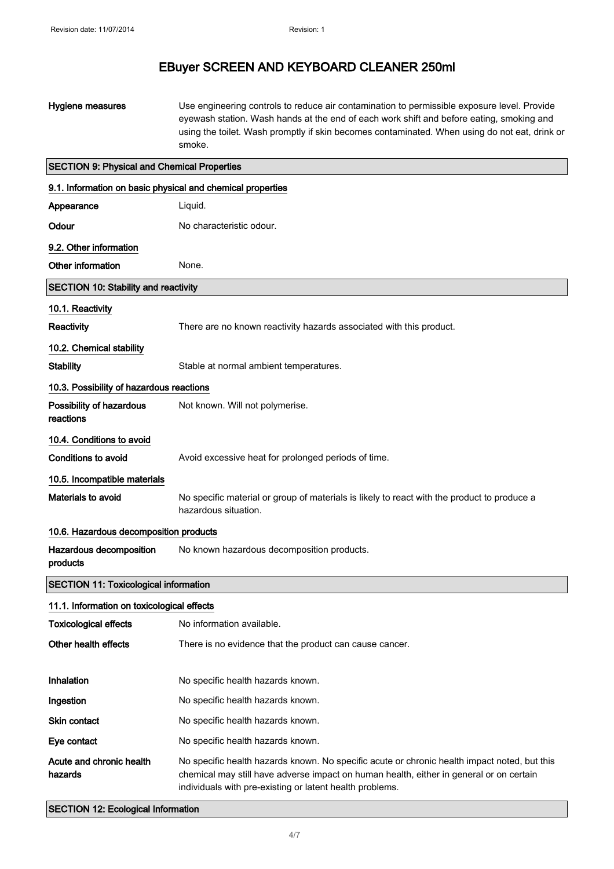### Hygiene measures Use engineering controls to reduce air contamination to permissible exposure level. Provide eyewash station. Wash hands at the end of each work shift and before eating, smoking and using the toilet. Wash promptly if skin becomes contaminated. When using do not eat, drink or smoke.

| <b>SECTION 9: Physical and Chemical Properties</b>         |                                                                                                                                                                                                                                                     |  |
|------------------------------------------------------------|-----------------------------------------------------------------------------------------------------------------------------------------------------------------------------------------------------------------------------------------------------|--|
| 9.1. Information on basic physical and chemical properties |                                                                                                                                                                                                                                                     |  |
| Appearance                                                 | Liquid.                                                                                                                                                                                                                                             |  |
| Odour                                                      | No characteristic odour.                                                                                                                                                                                                                            |  |
| 9.2. Other information                                     |                                                                                                                                                                                                                                                     |  |
| Other information                                          | None.                                                                                                                                                                                                                                               |  |
| <b>SECTION 10: Stability and reactivity</b>                |                                                                                                                                                                                                                                                     |  |
| 10.1. Reactivity                                           |                                                                                                                                                                                                                                                     |  |
| Reactivity                                                 | There are no known reactivity hazards associated with this product.                                                                                                                                                                                 |  |
| 10.2. Chemical stability                                   |                                                                                                                                                                                                                                                     |  |
| <b>Stability</b>                                           | Stable at normal ambient temperatures.                                                                                                                                                                                                              |  |
| 10.3. Possibility of hazardous reactions                   |                                                                                                                                                                                                                                                     |  |
| Possibility of hazardous<br>reactions                      | Not known. Will not polymerise.                                                                                                                                                                                                                     |  |
| 10.4. Conditions to avoid                                  |                                                                                                                                                                                                                                                     |  |
| <b>Conditions to avoid</b>                                 | Avoid excessive heat for prolonged periods of time.                                                                                                                                                                                                 |  |
| 10.5. Incompatible materials                               |                                                                                                                                                                                                                                                     |  |
| <b>Materials to avoid</b>                                  | No specific material or group of materials is likely to react with the product to produce a<br>hazardous situation.                                                                                                                                 |  |
| 10.6. Hazardous decomposition products                     |                                                                                                                                                                                                                                                     |  |
| Hazardous decomposition<br>products                        | No known hazardous decomposition products.                                                                                                                                                                                                          |  |
| <b>SECTION 11: Toxicological information</b>               |                                                                                                                                                                                                                                                     |  |
| 11.1. Information on toxicological effects                 |                                                                                                                                                                                                                                                     |  |
| <b>Toxicological effects</b>                               | No information available.                                                                                                                                                                                                                           |  |
| Other health effects                                       | There is no evidence that the product can cause cancer.                                                                                                                                                                                             |  |
| Inhalation                                                 | No specific health hazards known.                                                                                                                                                                                                                   |  |
| Ingestion                                                  | No specific health hazards known.                                                                                                                                                                                                                   |  |
| <b>Skin contact</b>                                        | No specific health hazards known.                                                                                                                                                                                                                   |  |
| Eye contact                                                | No specific health hazards known.                                                                                                                                                                                                                   |  |
| Acute and chronic health<br>hazards                        | No specific health hazards known. No specific acute or chronic health impact noted, but this<br>chemical may still have adverse impact on human health, either in general or on certain<br>individuals with pre-existing or latent health problems. |  |

### SECTION 12: Ecological Information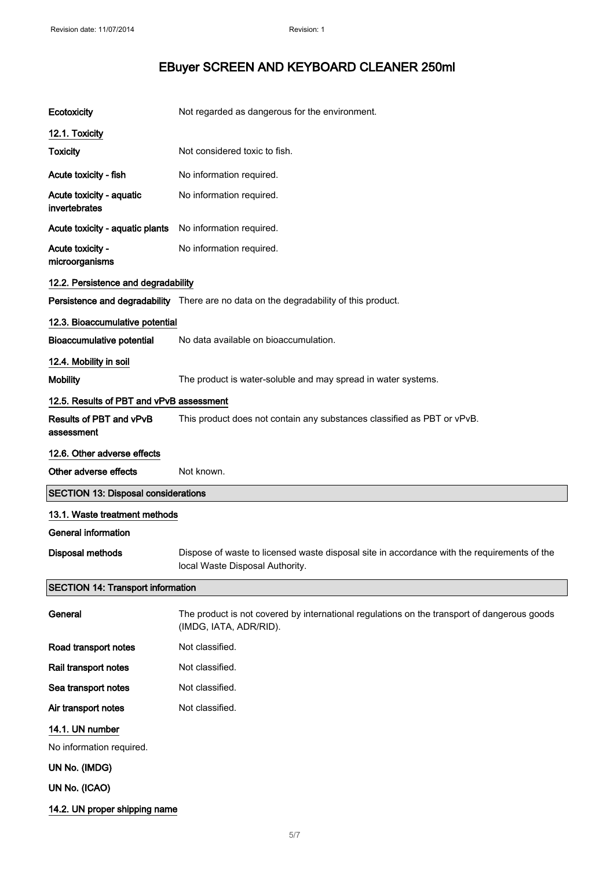| Ecotoxicity                                | Not regarded as dangerous for the environment.                                                                                 |
|--------------------------------------------|--------------------------------------------------------------------------------------------------------------------------------|
| 12.1. Toxicity                             |                                                                                                                                |
| <b>Toxicity</b>                            | Not considered toxic to fish.                                                                                                  |
| Acute toxicity - fish                      | No information required.                                                                                                       |
| Acute toxicity - aquatic<br>invertebrates  | No information required.                                                                                                       |
| Acute toxicity - aquatic plants            | No information required.                                                                                                       |
| Acute toxicity -<br>microorganisms         | No information required.                                                                                                       |
| 12.2. Persistence and degradability        |                                                                                                                                |
|                                            | Persistence and degradability There are no data on the degradability of this product.                                          |
| 12.3. Bioaccumulative potential            |                                                                                                                                |
| <b>Bioaccumulative potential</b>           | No data available on bioaccumulation.                                                                                          |
| 12.4. Mobility in soil                     |                                                                                                                                |
| <b>Mobility</b>                            | The product is water-soluble and may spread in water systems.                                                                  |
| 12.5. Results of PBT and vPvB assessment   |                                                                                                                                |
| Results of PBT and vPvB<br>assessment      | This product does not contain any substances classified as PBT or vPvB.                                                        |
| 12.6. Other adverse effects                |                                                                                                                                |
|                                            |                                                                                                                                |
| Other adverse effects                      | Not known.                                                                                                                     |
| <b>SECTION 13: Disposal considerations</b> |                                                                                                                                |
| 13.1. Waste treatment methods              |                                                                                                                                |
| <b>General information</b>                 |                                                                                                                                |
| <b>Disposal methods</b>                    | Dispose of waste to licensed waste disposal site in accordance with the requirements of the<br>local Waste Disposal Authority. |
| <b>SECTION 14: Transport information</b>   |                                                                                                                                |
| General                                    | The product is not covered by international regulations on the transport of dangerous goods<br>(IMDG, IATA, ADR/RID).          |
| Road transport notes                       | Not classified.                                                                                                                |
| Rail transport notes                       | Not classified.                                                                                                                |
| Sea transport notes                        | Not classified.                                                                                                                |
| Air transport notes                        | Not classified.                                                                                                                |
| 14.1. UN number                            |                                                                                                                                |
| No information required.                   |                                                                                                                                |
| UN No. (IMDG)                              |                                                                                                                                |
| UN No. (ICAO)                              |                                                                                                                                |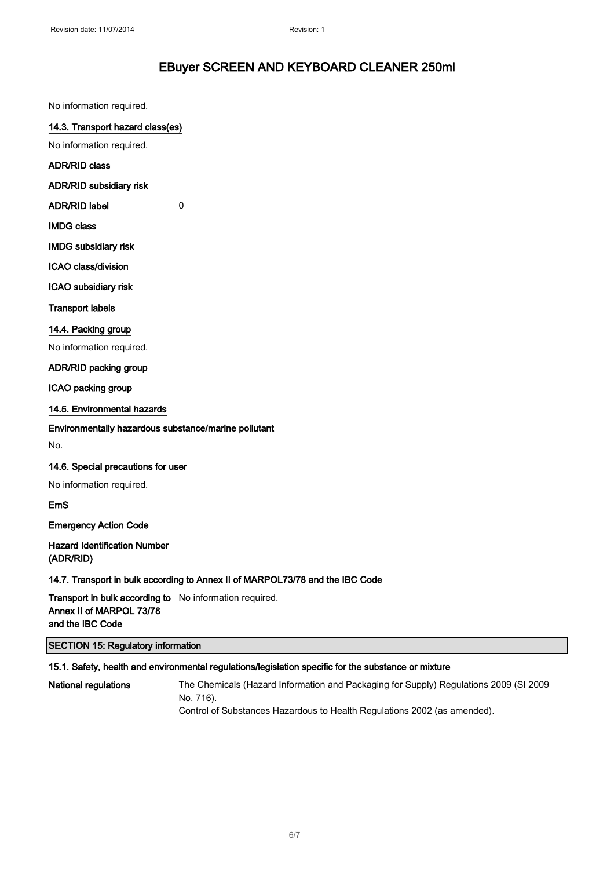No information required.

#### 14.3. Transport hazard class(es)

No information required.

#### ADR/RID class

ADR/RID subsidiary risk

ADR/RID label 0

#### IMDG class

IMDG subsidiary risk

ICAO class/division

ICAO subsidiary risk

#### Transport labels

#### 14.4. Packing group

No information required.

#### ADR/RID packing group

ICAO packing group

#### 14.5. Environmental hazards

#### Environmentally hazardous substance/marine pollutant

No.

#### 14.6. Special precautions for user

No information required.

#### EmS

Emergency Action Code

#### Hazard Identification Number (ADR/RID)

#### 14.7. Transport in bulk according to Annex II of MARPOL73/78 and the IBC Code

Transport in bulk according to No information required. Annex II of MARPOL 73/78 and the IBC Code

#### SECTION 15: Regulatory information

### 15.1. Safety, health and environmental regulations/legislation specific for the substance or mixture

National regulations The Chemicals (Hazard Information and Packaging for Supply) Regulations 2009 (SI 2009 No. 716).

Control of Substances Hazardous to Health Regulations 2002 (as amended).